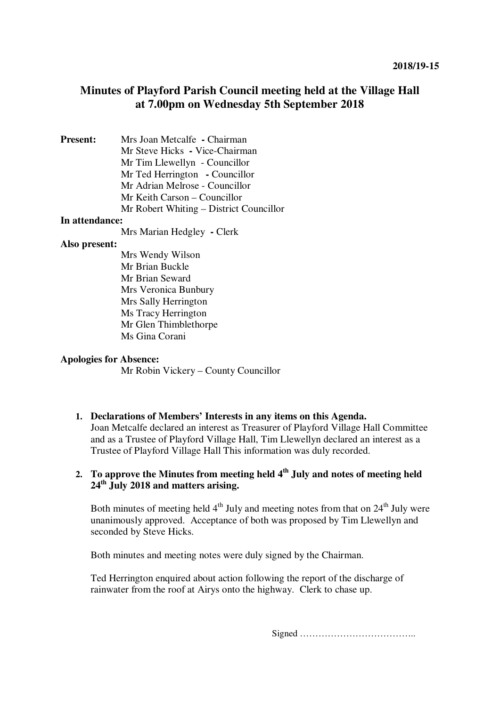# **Minutes of Playford Parish Council meeting held at the Village Hall at 7.00pm on Wednesday 5th September 2018**

**Present:** Mrs Joan Metcalfe **-** Chairman Mr Steve Hicks **-** Vice-Chairman Mr Tim Llewellyn - Councillor Mr Ted Herrington **-** Councillor Mr Adrian Melrose - Councillor Mr Keith Carson – Councillor Mr Robert Whiting – District Councillor

#### **In attendance:**

Mrs Marian Hedgley **-** Clerk

#### **Also present:**

Mrs Wendy Wilson Mr Brian Buckle Mr Brian Seward Mrs Veronica Bunbury Mrs Sally Herrington Ms Tracy Herrington Mr Glen Thimblethorpe Ms Gina Corani

#### **Apologies for Absence:**

Mr Robin Vickery – County Councillor

# **1. Declarations of Members' Interests in any items on this Agenda.**  Joan Metcalfe declared an interest as Treasurer of Playford Village Hall Committee

and as a Trustee of Playford Village Hall, Tim Llewellyn declared an interest as a Trustee of Playford Village Hall This information was duly recorded.

# **2. To approve the Minutes from meeting held 4th July and notes of meeting held 24th July 2018 and matters arising.**

Both minutes of meeting held  $4<sup>th</sup>$  July and meeting notes from that on  $24<sup>th</sup>$  July were unanimously approved. Acceptance of both was proposed by Tim Llewellyn and seconded by Steve Hicks.

Both minutes and meeting notes were duly signed by the Chairman.

Ted Herrington enquired about action following the report of the discharge of rainwater from the roof at Airys onto the highway. Clerk to chase up.

Signed ………………………………..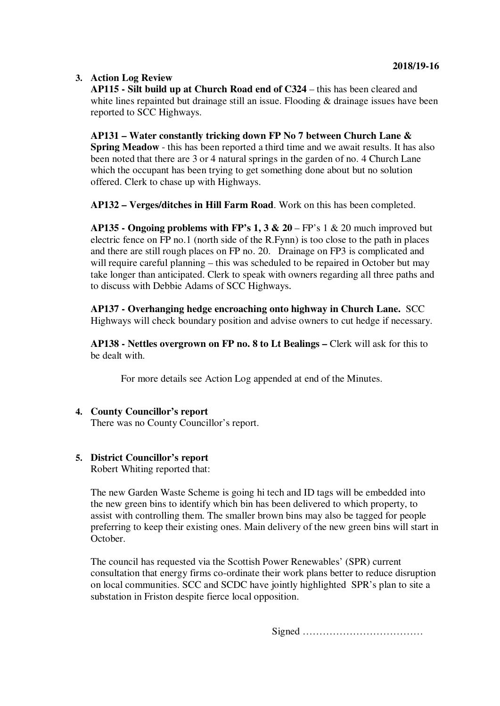# **3. Action Log Review**

**AP115 - Silt build up at Church Road end of C324** – this has been cleared and white lines repainted but drainage still an issue. Flooding & drainage issues have been reported to SCC Highways.

**AP131 – Water constantly tricking down FP No 7 between Church Lane & Spring Meadow** - this has been reported a third time and we await results. It has also been noted that there are 3 or 4 natural springs in the garden of no. 4 Church Lane which the occupant has been trying to get something done about but no solution offered. Clerk to chase up with Highways.

**AP132 – Verges/ditches in Hill Farm Road**. Work on this has been completed.

**AP135 - Ongoing problems with FP's 1, 3**  $\&$  **20 – FP's 1**  $\&$  **20 much improved but** electric fence on FP no.1 (north side of the R.Fynn) is too close to the path in places and there are still rough places on FP no. 20. Drainage on FP3 is complicated and will require careful planning – this was scheduled to be repaired in October but may take longer than anticipated. Clerk to speak with owners regarding all three paths and to discuss with Debbie Adams of SCC Highways.

**AP137 - Overhanging hedge encroaching onto highway in Church Lane.** SCC Highways will check boundary position and advise owners to cut hedge if necessary.

**AP138 - Nettles overgrown on FP no. 8 to Lt Bealings –** Clerk will ask for this to be dealt with.

For more details see Action Log appended at end of the Minutes.

# **4. County Councillor's report** There was no County Councillor's report.

# **5. District Councillor's report**

Robert Whiting reported that:

The new Garden Waste Scheme is going hi tech and ID tags will be embedded into the new green bins to identify which bin has been delivered to which property, to assist with controlling them. The smaller brown bins may also be tagged for people preferring to keep their existing ones. Main delivery of the new green bins will start in October.

The council has requested via the Scottish Power Renewables' (SPR) current consultation that energy firms co-ordinate their work plans better to reduce disruption on local communities. SCC and SCDC have jointly highlighted SPR's plan to site a substation in Friston despite fierce local opposition.

Signed ………………………………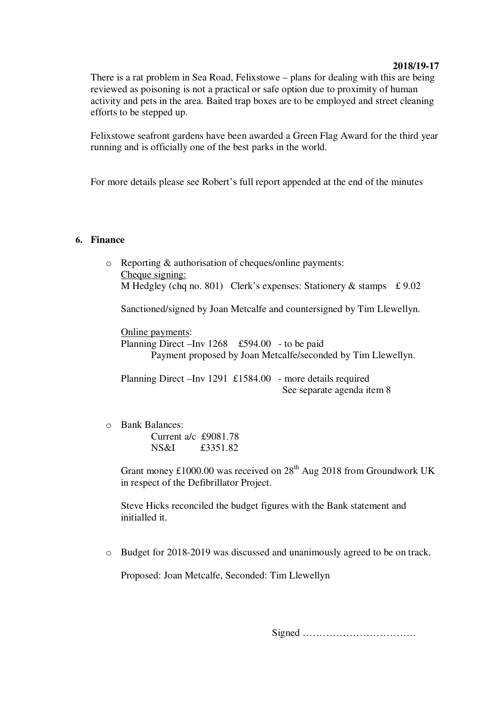### **2018/19-17**

There is a rat problem in Sea Road, Felixstowe – plans for dealing with this are being reviewed as poisoning is not a practical or safe option due to proximity of human activity and pets in the area. Baited trap boxes are to be employed and street cleaning efforts to be stepped up.

Felixstowe seafront gardens have been awarded a Green Flag Award for the third year running and is officially one of the best parks in the world.

For more details please see Robert's full report appended at the end of the minutes

# **6. Finance**

- o Reporting & authorisation of cheques/online payments: Cheque signing: M Hedgley (chq no. 801) Clerk's expenses: Stationery  $\&$  stamps £ 9.02 Sanctioned/signed by Joan Metcalfe and countersigned by Tim Llewellyn. Online payments: Planning Direct –Inv 1268 £594.00 - to be paid Payment proposed by Joan Metcalfe/seconded by Tim Llewellyn. Planning Direct –Inv 1291 £1584.00 - more details required See separate agenda item 8
- o Bank Balances: Current a/c £9081.78 NS&I £3351.82

Grant money £1000.00 was received on  $28<sup>th</sup>$  Aug 2018 from Groundwork UK in respect of the Defibrillator Project.

Steve Hicks reconciled the budget figures with the Bank statement and initialled it.

o Budget for 2018-2019 was discussed and unanimously agreed to be on track.

Proposed: Joan Metcalfe, Seconded: Tim Llewellyn

Signed …………………………….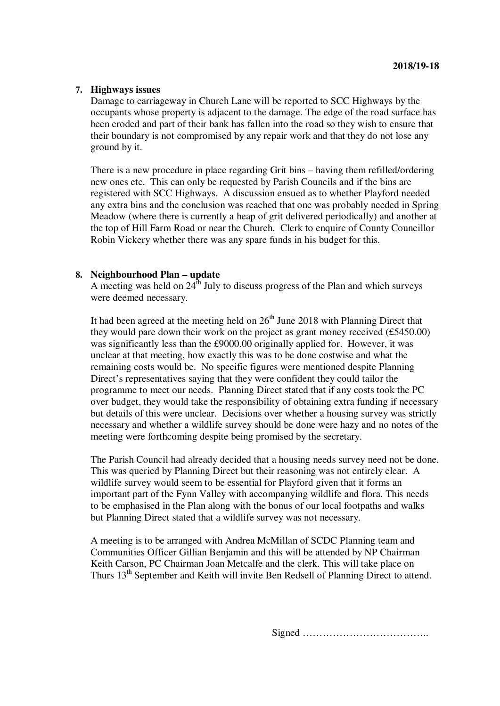## **7. Highways issues**

Damage to carriageway in Church Lane will be reported to SCC Highways by the occupants whose property is adjacent to the damage. The edge of the road surface has been eroded and part of their bank has fallen into the road so they wish to ensure that their boundary is not compromised by any repair work and that they do not lose any ground by it.

There is a new procedure in place regarding Grit bins – having them refilled/ordering new ones etc. This can only be requested by Parish Councils and if the bins are registered with SCC Highways. A discussion ensued as to whether Playford needed any extra bins and the conclusion was reached that one was probably needed in Spring Meadow (where there is currently a heap of grit delivered periodically) and another at the top of Hill Farm Road or near the Church. Clerk to enquire of County Councillor Robin Vickery whether there was any spare funds in his budget for this.

# **8. Neighbourhood Plan – update**

A meeting was held on  $24<sup>th</sup>$  July to discuss progress of the Plan and which surveys were deemed necessary.

It had been agreed at the meeting held on  $26<sup>th</sup>$  June 2018 with Planning Direct that they would pare down their work on the project as grant money received (£5450.00) was significantly less than the £9000.00 originally applied for. However, it was unclear at that meeting, how exactly this was to be done costwise and what the remaining costs would be. No specific figures were mentioned despite Planning Direct's representatives saying that they were confident they could tailor the programme to meet our needs. Planning Direct stated that if any costs took the PC over budget, they would take the responsibility of obtaining extra funding if necessary but details of this were unclear. Decisions over whether a housing survey was strictly necessary and whether a wildlife survey should be done were hazy and no notes of the meeting were forthcoming despite being promised by the secretary.

The Parish Council had already decided that a housing needs survey need not be done. This was queried by Planning Direct but their reasoning was not entirely clear. A wildlife survey would seem to be essential for Playford given that it forms an important part of the Fynn Valley with accompanying wildlife and flora. This needs to be emphasised in the Plan along with the bonus of our local footpaths and walks but Planning Direct stated that a wildlife survey was not necessary.

A meeting is to be arranged with Andrea McMillan of SCDC Planning team and Communities Officer Gillian Benjamin and this will be attended by NP Chairman Keith Carson, PC Chairman Joan Metcalfe and the clerk. This will take place on Thurs 13<sup>th</sup> September and Keith will invite Ben Redsell of Planning Direct to attend.

Signed ………………………………..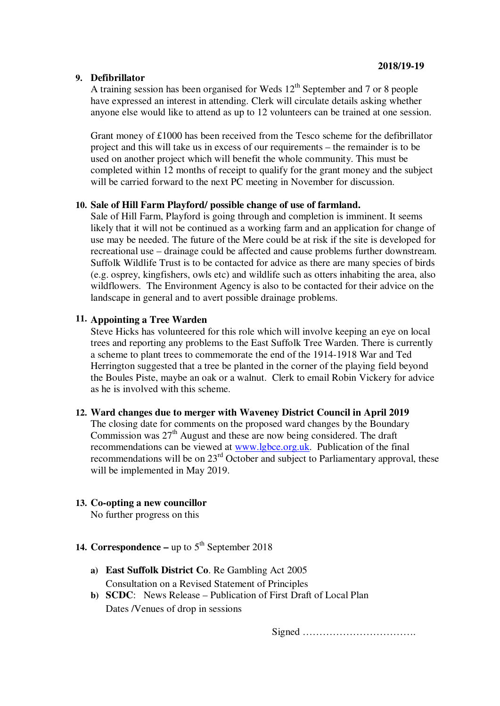## **9. Defibrillator**

A training session has been organised for Weds  $12<sup>th</sup>$  September and 7 or 8 people have expressed an interest in attending. Clerk will circulate details asking whether anyone else would like to attend as up to 12 volunteers can be trained at one session.

Grant money of £1000 has been received from the Tesco scheme for the defibrillator project and this will take us in excess of our requirements – the remainder is to be used on another project which will benefit the whole community. This must be completed within 12 months of receipt to qualify for the grant money and the subject will be carried forward to the next PC meeting in November for discussion.

#### **10. Sale of Hill Farm Playford/ possible change of use of farmland.**

Sale of Hill Farm, Playford is going through and completion is imminent. It seems likely that it will not be continued as a working farm and an application for change of use may be needed. The future of the Mere could be at risk if the site is developed for recreational use – drainage could be affected and cause problems further downstream. Suffolk Wildlife Trust is to be contacted for advice as there are many species of birds (e.g. osprey, kingfishers, owls etc) and wildlife such as otters inhabiting the area, also wildflowers. The Environment Agency is also to be contacted for their advice on the landscape in general and to avert possible drainage problems.

# **11. Appointing a Tree Warden**

Steve Hicks has volunteered for this role which will involve keeping an eye on local trees and reporting any problems to the East Suffolk Tree Warden. There is currently a scheme to plant trees to commemorate the end of the 1914-1918 War and Ted Herrington suggested that a tree be planted in the corner of the playing field beyond the Boules Piste, maybe an oak or a walnut. Clerk to email Robin Vickery for advice as he is involved with this scheme.

#### **12. Ward changes due to merger with Waveney District Council in April 2019**

The closing date for comments on the proposed ward changes by the Boundary Commission was  $27<sup>th</sup>$  August and these are now being considered. The draft recommendations can be viewed at www.lgbce.org.uk. Publication of the final recommendations will be on 23<sup>rd</sup> October and subject to Parliamentary approval, these will be implemented in May 2019.

## **13. Co-opting a new councillor**

No further progress on this

- **14. Correspondence –** up to  $5<sup>th</sup>$  September 2018
	- **a) East Suffolk District Co**. Re Gambling Act 2005 Consultation on a Revised Statement of Principles
	- **b) SCDC**: News Release Publication of First Draft of Local Plan Dates /Venues of drop in sessions

Signed …………………………….